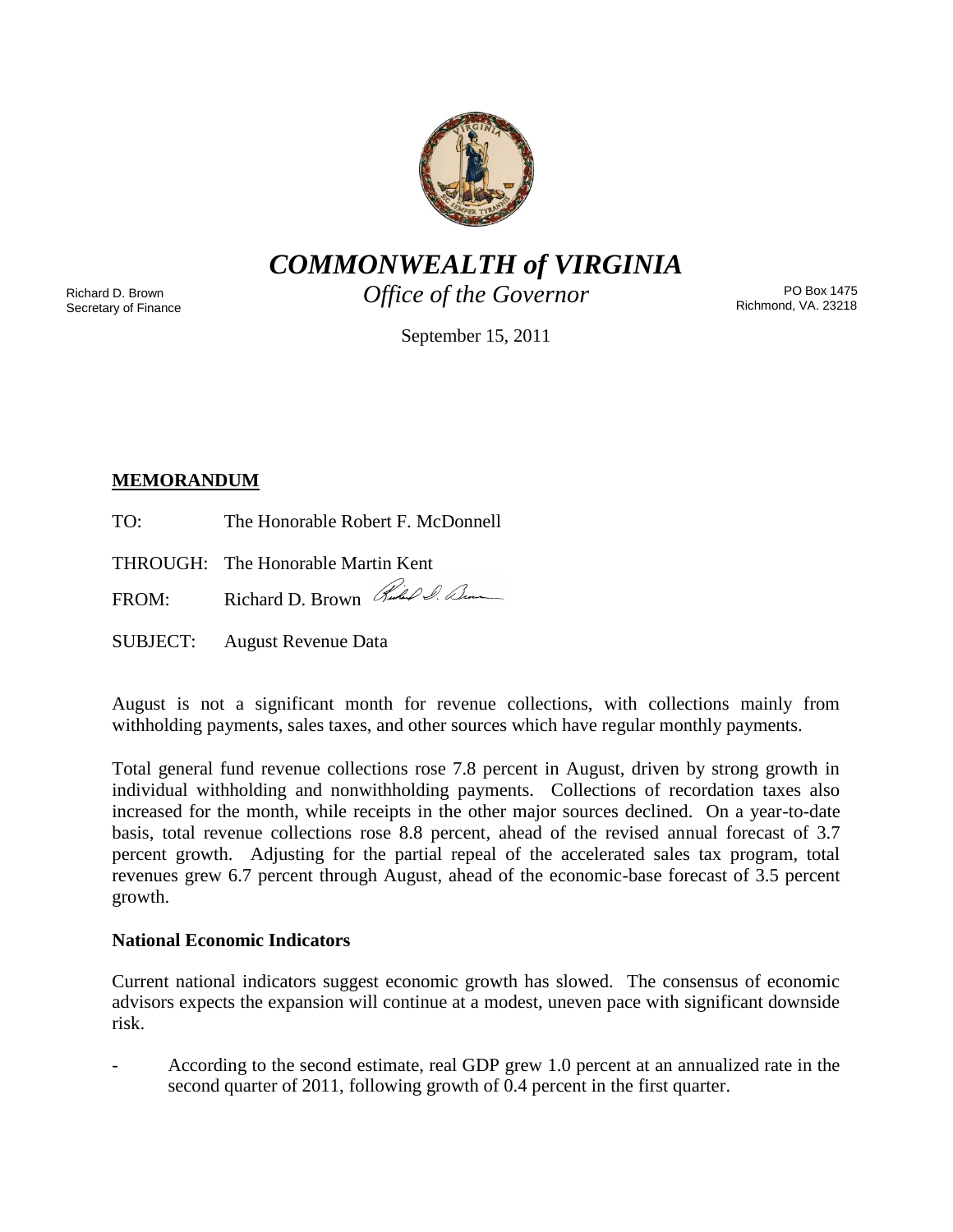

*COMMONWEALTH of VIRGINIA*

Richard D. Brown Secretary of Finance *Office of the Governor*

PO Box 1475 Richmond, VA. 23218

September 15, 2011

# **MEMORANDUM**

TO: The Honorable Robert F. McDonnell

THROUGH: The Honorable Martin Kent

FROM: Richard D. Brown Red & Denne

SUBJECT: August Revenue Data

August is not a significant month for revenue collections, with collections mainly from withholding payments, sales taxes, and other sources which have regular monthly payments.

Total general fund revenue collections rose 7.8 percent in August, driven by strong growth in individual withholding and nonwithholding payments. Collections of recordation taxes also increased for the month, while receipts in the other major sources declined. On a year-to-date basis, total revenue collections rose 8.8 percent, ahead of the revised annual forecast of 3.7 percent growth. Adjusting for the partial repeal of the accelerated sales tax program, total revenues grew 6.7 percent through August, ahead of the economic-base forecast of 3.5 percent growth.

# **National Economic Indicators**

Current national indicators suggest economic growth has slowed. The consensus of economic advisors expects the expansion will continue at a modest, uneven pace with significant downside risk.

- According to the second estimate, real GDP grew 1.0 percent at an annualized rate in the second quarter of 2011, following growth of 0.4 percent in the first quarter.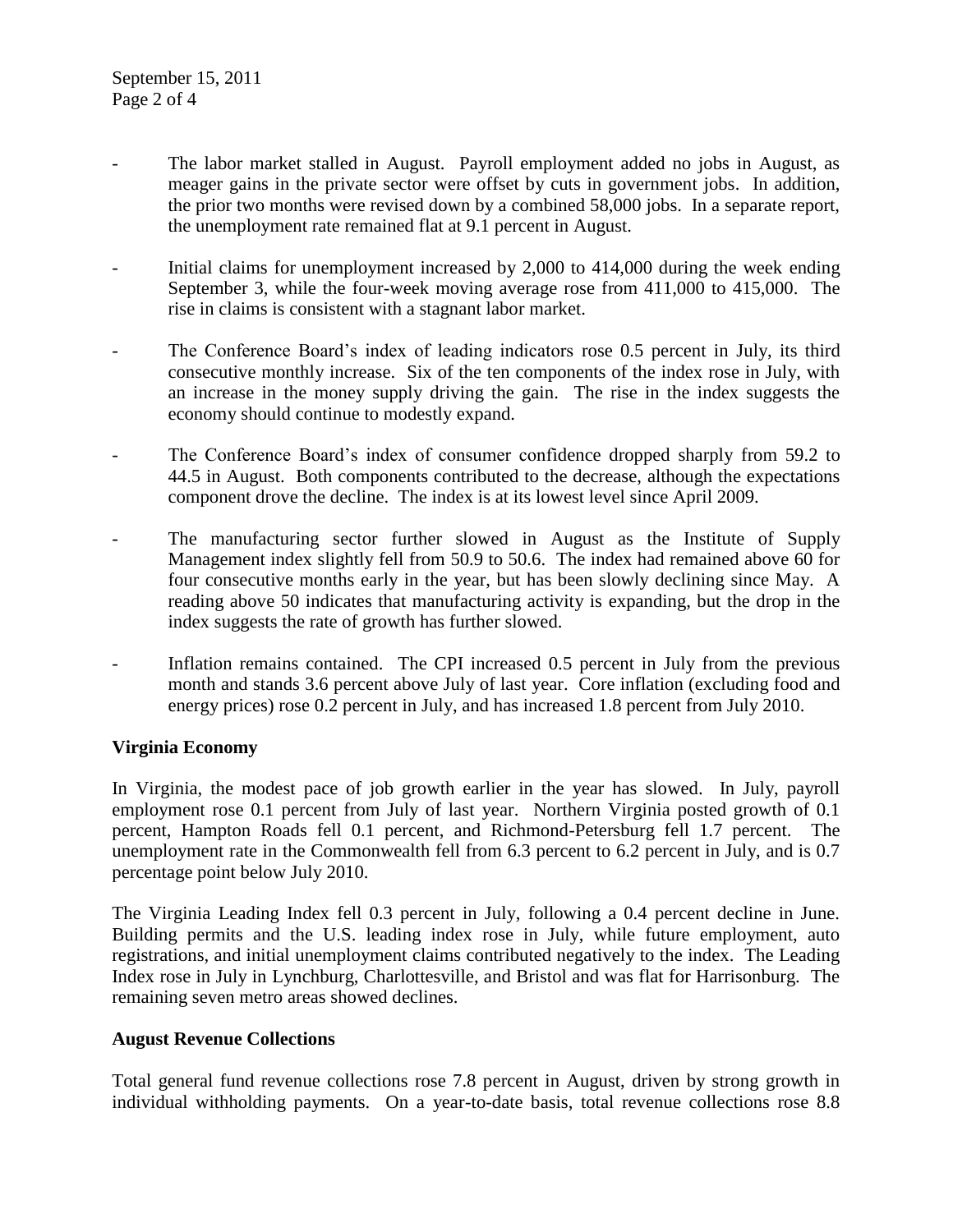- The labor market stalled in August. Payroll employment added no jobs in August, as meager gains in the private sector were offset by cuts in government jobs. In addition, the prior two months were revised down by a combined 58,000 jobs. In a separate report, the unemployment rate remained flat at 9.1 percent in August.
- Initial claims for unemployment increased by 2,000 to 414,000 during the week ending September 3, while the four-week moving average rose from 411,000 to 415,000. The rise in claims is consistent with a stagnant labor market.
- The Conference Board's index of leading indicators rose 0.5 percent in July, its third consecutive monthly increase. Six of the ten components of the index rose in July, with an increase in the money supply driving the gain. The rise in the index suggests the economy should continue to modestly expand.
- The Conference Board's index of consumer confidence dropped sharply from 59.2 to 44.5 in August. Both components contributed to the decrease, although the expectations component drove the decline. The index is at its lowest level since April 2009.
- The manufacturing sector further slowed in August as the Institute of Supply Management index slightly fell from 50.9 to 50.6. The index had remained above 60 for four consecutive months early in the year, but has been slowly declining since May. A reading above 50 indicates that manufacturing activity is expanding, but the drop in the index suggests the rate of growth has further slowed.
- Inflation remains contained. The CPI increased 0.5 percent in July from the previous month and stands 3.6 percent above July of last year. Core inflation (excluding food and energy prices) rose 0.2 percent in July, and has increased 1.8 percent from July 2010.

## **Virginia Economy**

In Virginia, the modest pace of job growth earlier in the year has slowed. In July, payroll employment rose 0.1 percent from July of last year. Northern Virginia posted growth of 0.1 percent, Hampton Roads fell 0.1 percent, and Richmond-Petersburg fell 1.7 percent. The unemployment rate in the Commonwealth fell from 6.3 percent to 6.2 percent in July, and is 0.7 percentage point below July 2010.

The Virginia Leading Index fell 0.3 percent in July, following a 0.4 percent decline in June. Building permits and the U.S. leading index rose in July, while future employment, auto registrations, and initial unemployment claims contributed negatively to the index. The Leading Index rose in July in Lynchburg, Charlottesville, and Bristol and was flat for Harrisonburg. The remaining seven metro areas showed declines.

## **August Revenue Collections**

Total general fund revenue collections rose 7.8 percent in August, driven by strong growth in individual withholding payments. On a year-to-date basis, total revenue collections rose 8.8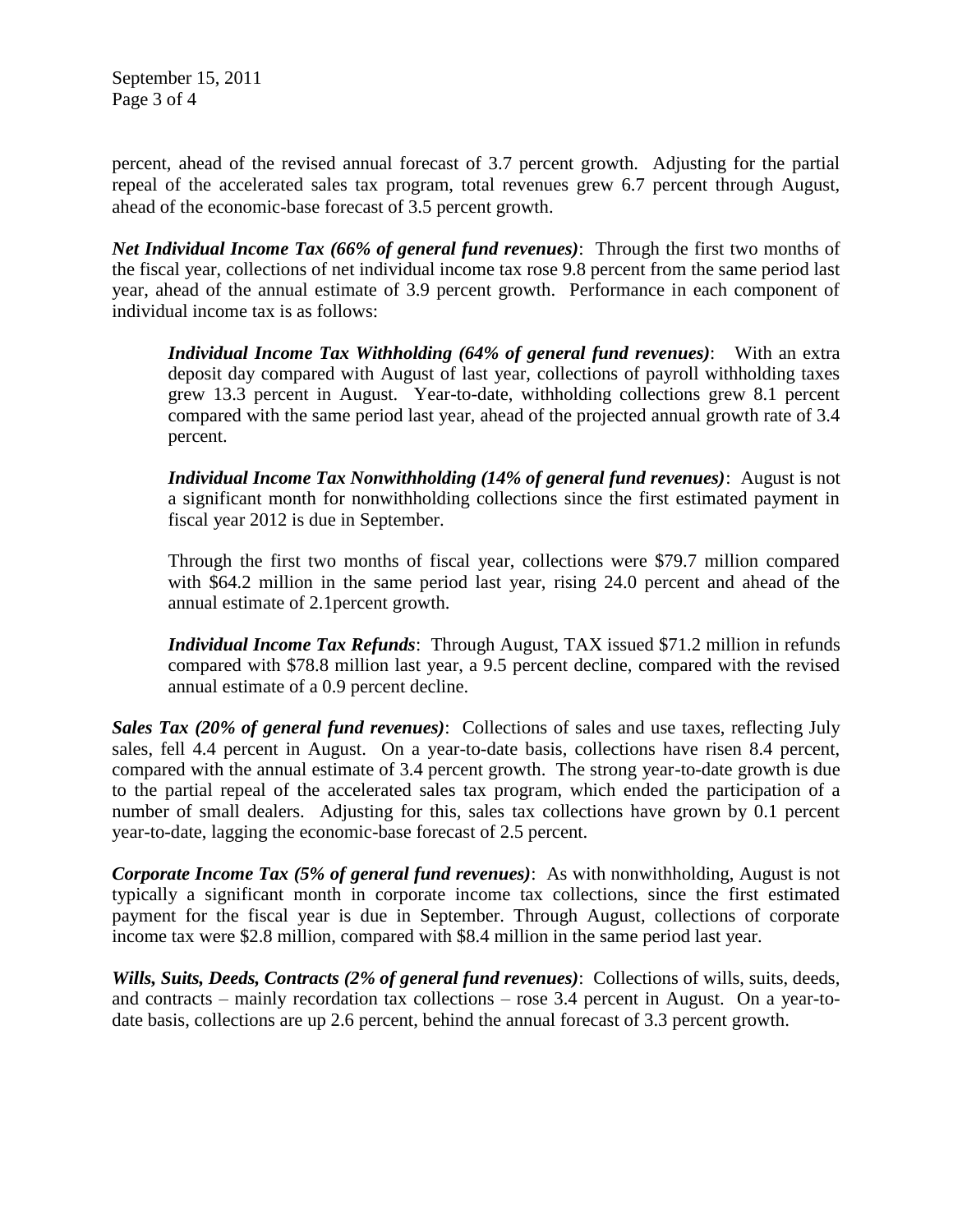September 15, 2011 Page 3 of 4

percent, ahead of the revised annual forecast of 3.7 percent growth. Adjusting for the partial repeal of the accelerated sales tax program, total revenues grew 6.7 percent through August, ahead of the economic-base forecast of 3.5 percent growth.

*Net Individual Income Tax (66% of general fund revenues)*: Through the first two months of the fiscal year, collections of net individual income tax rose 9.8 percent from the same period last year, ahead of the annual estimate of 3.9 percent growth. Performance in each component of individual income tax is as follows:

*Individual Income Tax Withholding (64% of general fund revenues)*: With an extra deposit day compared with August of last year, collections of payroll withholding taxes grew 13.3 percent in August. Year-to-date, withholding collections grew 8.1 percent compared with the same period last year, ahead of the projected annual growth rate of 3.4 percent.

*Individual Income Tax Nonwithholding (14% of general fund revenues)*: August is not a significant month for nonwithholding collections since the first estimated payment in fiscal year 2012 is due in September.

Through the first two months of fiscal year, collections were \$79.7 million compared with \$64.2 million in the same period last year, rising 24.0 percent and ahead of the annual estimate of 2.1percent growth.

*Individual Income Tax Refunds*: Through August, TAX issued \$71.2 million in refunds compared with \$78.8 million last year, a 9.5 percent decline, compared with the revised annual estimate of a 0.9 percent decline.

*Sales Tax (20% of general fund revenues)*: Collections of sales and use taxes, reflecting July sales, fell 4.4 percent in August. On a year-to-date basis, collections have risen 8.4 percent, compared with the annual estimate of 3.4 percent growth. The strong year-to-date growth is due to the partial repeal of the accelerated sales tax program, which ended the participation of a number of small dealers. Adjusting for this, sales tax collections have grown by 0.1 percent year-to-date, lagging the economic-base forecast of 2.5 percent.

*Corporate Income Tax (5% of general fund revenues)*: As with nonwithholding, August is not typically a significant month in corporate income tax collections, since the first estimated payment for the fiscal year is due in September. Through August, collections of corporate income tax were \$2.8 million, compared with \$8.4 million in the same period last year.

*Wills, Suits, Deeds, Contracts (2% of general fund revenues)*: Collections of wills, suits, deeds, and contracts – mainly recordation tax collections – rose 3.4 percent in August. On a year-todate basis, collections are up 2.6 percent, behind the annual forecast of 3.3 percent growth.